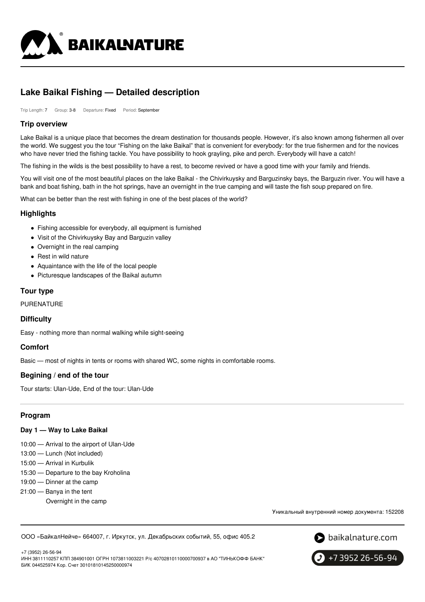

# **Lake Baikal Fishing — Detailed description**

Trip Length: 7 Group: 3-8 Departure: Fixed Period: September

### **Trip overview**

Lake Baikal is a unique place that becomes the dream destination for thousands people. However, it's also known among fishermen all over the world. We suggest you the tour "Fishing on the lake Baikal" that is convenient for everybody: for the true fishermen and for the novices who have never tried the fishing tackle. You have possibility to hook grayling, pike and perch. Everybody will have a catch!

The fishing in the wilds is the best possibility to have a rest, to become revived or have a good time with your family and friends.

You will visit one of the most beautiful places on the lake Baikal - the Chivirkuysky and Barguzinsky bays, the Barguzin river. You will have a bank and boat fishing, bath in the hot springs, have an overnight in the true camping and will taste the fish soup prepared on fire.

What can be better than the rest with fishing in one of the best places of the world?

### **Highlights**

- Fishing accessible for everybody, all equipment is furnished
- Visit of the Chivirkuysky Bay and Barguzin valley
- Overnight in the real camping
- Rest in wild nature
- Aquaintance with the life of the local people
- Picturesque landscapes of the Baikal autumn

## **Tour type**

PURENATURE

# **Difficulty**

Easy - nothing more than normal walking while sight-seeing

# **Comfort**

Basic — most of nights in tents or rooms with shared WC, some nights in comfortable rooms.

# **Begining / end of the tour**

Tour starts: Ulan-Ude, End of the tour: Ulan-Ude

# **Program**

### **Day 1 — Way to Lake Baikal**

10:00 — Arrival to the airport of Ulan-Ude

- 13:00 Lunch (Not included)
- 15:00 Arrival in Kurbulik
- 15:30 Departure to the bay Kroholina
- 19:00 Dinner at the camp
- 21:00 Banya in the tent
	- Overnight in the camp

Уникальный внутренний номер документа: 152208

ООО «БайкалНейче» 664007, г. Иркутск, ул. Декабрьских событий, 55, офис 405.2



+7 3952 26-56-94

+7 (3952) 26-56-94 ИНН 3811110257 КПП 384901001 ОГРН 1073811003221 Р/с 40702810110000700937 в АО "ТИНЬКОФФ БАНК" БИК 044525974 Кор. Счет 30101810145250000974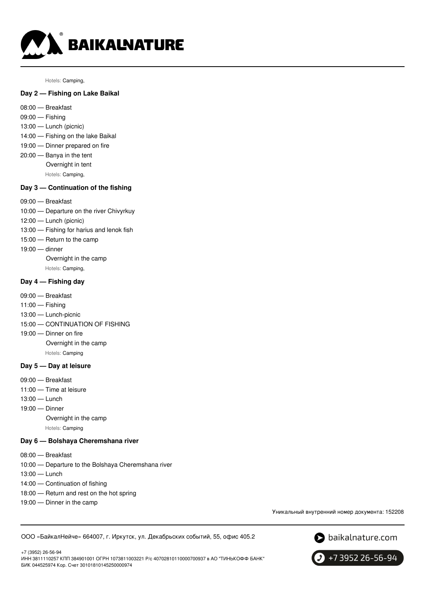

Hotels: Camping,

### **Day 2 — Fishing on Lake Baikal**

- 08:00 Breakfast
- 09:00 Fishing
- 13:00 Lunch (picnic)
- 14:00 Fishing on the lake Baikal
- 19:00 Dinner prepared on fire 20:00 — Banya in the tent
	- Overnight in tent
		- Hotels: Camping,

# **Day 3 — Continuation of the fishing**

- 09:00 Breakfast
- 10:00 Departure on the river Chivyrkuy
- 12:00 Lunch (picnic)
- 13:00 Fishing for harius and lenok fish
- 15:00 Return to the camp
- 19:00 dinner
	- Overnight in the camp Hotels: Camping,

### **Day 4 — Fishing day**

- 09:00 Breakfast
- 11:00 Fishing
- 13:00 Lunch-picnic
- 15:00 CONTINUATION OF FISHING
- 19:00 Dinner on fire

Overnight in the camp

Hotels: Camping

### **Day 5 — Day at leisure**

- 09:00 Breakfast
- 11:00 Time at leisure
- 13:00 Lunch
- 19:00 Dinner
	- Overnight in the camp
		- Hotels: Camping

# **Day 6 — Bolshaya Cheremshana river**

- 08:00 Breakfast
- 10:00 Departure to the Bolshaya Cheremshana river
- 13:00 Lunch
- 14:00 Continuation of fishing
- 18:00 Return and rest on the hot spring
- 19:00 Dinner in the camp

Уникальный внутренний номер документа: 152208

ООО «БайкалНейче» 664007, г. Иркутск, ул. Декабрьских событий, 55, офис 405.2



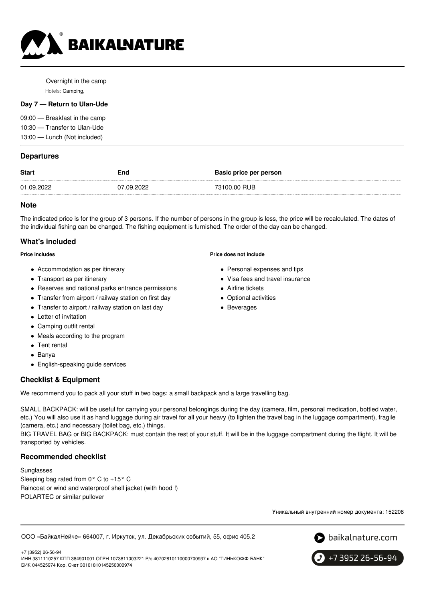

Overnight in the camp Hotels: Camping,

### **Day 7 — Return to Ulan-Ude**

09:00 — Breakfast in the camp 10:30 — Transfer to Ulan-Ude 13:00 — Lunch (Not included)

## **Departures**

| <b>Start</b> | End        | <b>Basic price per person</b> |
|--------------|------------|-------------------------------|
| 01.09.2022   | 07.09.2022 | 73100.00 RUB                  |
|              |            |                               |

### **Note**

The indicated price is for the group of 3 persons. If the number of persons in the group is less, the price will be recalculated. The dates of the individual fishing can be changed. The fishing equipment is furnished. The order of the day can be changed.

# **What's included**

#### **Price includes**

- Accommodation as per itinerary
- Transport as per itinerary
- Reserves and national parks entrance permissions
- Transfer from airport / railway station on first day
- Transfer to airport / railway station on last day
- Letter of invitation
- Camping outfit rental
- Meals according to the program
- Tent rental
- Banya
- English-speaking guide services

# **Checklist & Equipment**

We recommend you to pack all your stuff in two bags: a small backpack and a large travelling bag.

SMALL BACKPACK: will be useful for carrying your personal belongings during the day (camera, film, personal medication, bottled water, etc.) You will also use it as hand luggage during air travel for all your heavy (to lighten the travel bag in the luggage compartment), fragile (camera, etc.) and necessary (toilet bag, etc.) things.

BIG TRAVEL BAG or BIG BACKPACK: must contain the rest of your stuff. It will be in the luggage compartment during the flight. It will be transported by vehicles.

# **Recommended checklist**

Sunglasses Sleeping bag rated from 0° C to +15° C Raincoat or wind and waterproof shell jacket (with hood !) POLARTEC or similar pullover

Уникальный внутренний номер документа: 152208

ООО «БайкалНейче» 664007, г. Иркутск, ул. Декабрьских событий, 55, офис 405.2



+7 3952 26-56-94

+7 (3952) 26-56-94 ИНН 3811110257 КПП 384901001 ОГРН 1073811003221 Р/с 40702810110000700937 в АО "ТИНЬКОФФ БАНК" БИК 044525974 Кор. Счет 30101810145250000974

# **Price does not include**

- Personal expenses and tips
- Visa fees and travel insurance
- Airline tickets
- Optional activities
- Beverages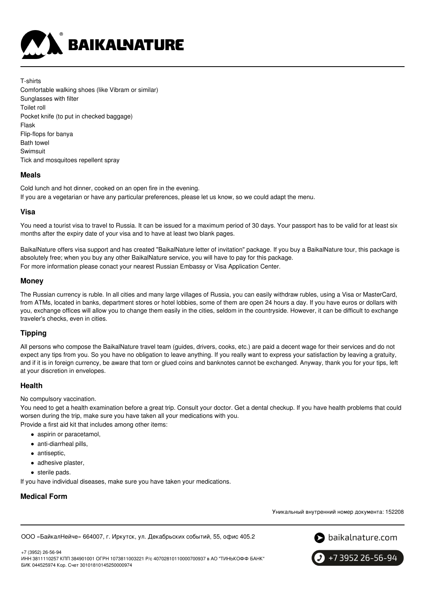

T-shirts Comfortable walking shoes (like Vibram or similar) Sunglasses with filter Toilet roll Pocket knife (to put in checked baggage) Flask Flip-flops for banya Bath towel Swimsuit Tick and mosquitoes repellent spray

## **Meals**

Cold lunch and hot dinner, cooked on an open fire in the evening. If you are a vegetarian or have any particular preferences, please let us know, so we could adapt the menu.

### **Visa**

You need a tourist visa to travel to Russia. It can be issued for a maximum period of 30 days. Your passport has to be valid for at least six months after the expiry date of your visa and to have at least two blank pages.

BaikalNature offers visa support and has created "BaikalNature letter of invitation" package. If you buy a BaikalNature tour, this package is absolutely free; when you buy any other BaikalNature service, you will have to pay for this package. For more information please conact your nearest Russian Embassy or Visa Application Center.

### **Money**

The Russian currency is ruble. In all cities and many large villages of Russia, you can easily withdraw rubles, using a Visa or MasterCard, from ATMs, located in banks, department stores or hotel lobbies, some of them are open 24 hours a day. If you have euros or dollars with you, exchange offices will allow you to change them easily in the cities, seldom in the countryside. However, it can be difficult to exchange traveler's checks, even in cities.

# **Tipping**

All persons who compose the BaikalNature travel team (guides, drivers, cooks, etc.) are paid a decent wage for their services and do not expect any tips from you. So you have no obligation to leave anything. If you really want to express your satisfaction by leaving a gratuity, and if it is in foreign currency, be aware that torn or glued coins and banknotes cannot be exchanged. Anyway, thank you for your tips, left at your discretion in envelopes.

### **Health**

No compulsory vaccination.

You need to get a health examination before a great trip. Consult your doctor. Get a dental checkup. If you have health problems that could worsen during the trip, make sure you have taken all your medications with you.

- Provide a first aid kit that includes among other items:
	- aspirin or paracetamol,
	- anti-diarrheal pills,
	- antiseptic,
	- adhesive plaster,
	- **•** sterile pads.

If you have individual diseases, make sure you have taken your medications.

# **Medical Form**

Уникальный внутренний номер документа: 152208

ООО «БайкалНейче» 664007, г. Иркутск, ул. Декабрьских событий, 55, офис 405.2



+7 (3952) 26-56-94 ИНН 3811110257 КПП 384901001 ОГРН 1073811003221 Р/с 40702810110000700937 в АО "ТИНЬКОФФ БАНК" БИК 044525974 Кор. Счет 30101810145250000974